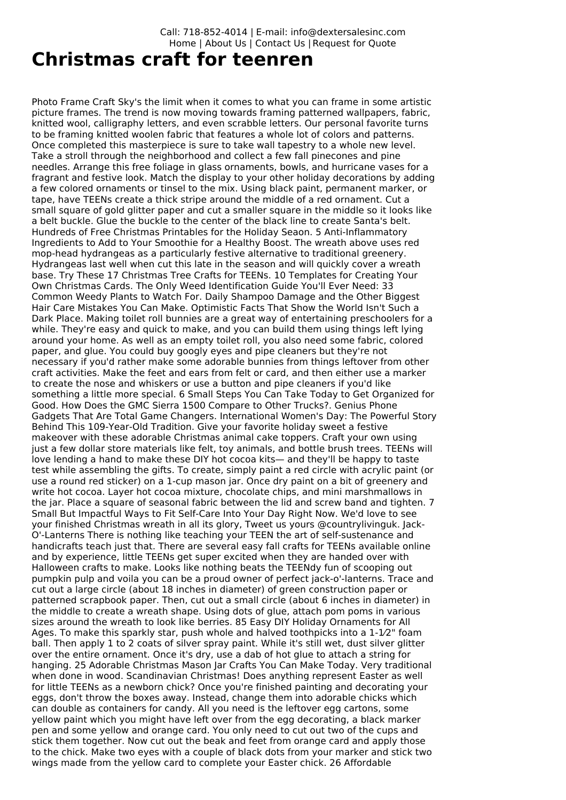Call: 718-852-4014 | E-mail: info@dextersalesinc.com Home | About Us | Contact Us |Request for Quote

## **Christmas craft for teenren**

Photo Frame Craft Sky's the limit when it comes to what you can frame in some artistic picture frames. The trend is now moving towards framing patterned wallpapers, fabric, knitted wool, calligraphy letters, and even scrabble letters. Our personal favorite turns to be framing knitted woolen fabric that features a whole lot of colors and patterns. Once completed this masterpiece is sure to take wall tapestry to a whole new level. Take a stroll through the neighborhood and collect a few fall pinecones and pine needles. Arrange this free foliage in glass ornaments, bowls, and hurricane vases for a fragrant and festive look. Match the display to your other holiday decorations by adding a few colored ornaments or tinsel to the mix. Using black paint, permanent marker, or tape, have TEENs create a thick stripe around the middle of a red ornament. Cut a small square of gold glitter paper and cut a smaller square in the middle so it looks like a belt buckle. Glue the buckle to the center of the black line to create Santa's belt. Hundreds of Free Christmas Printables for the Holiday Seaon. 5 Anti-Inflammatory Ingredients to Add to Your Smoothie for a Healthy Boost. The wreath above uses red mop-head hydrangeas as a particularly festive alternative to traditional greenery. Hydrangeas last well when cut this late in the season and will quickly cover a wreath base. Try These 17 Christmas Tree Crafts for TEENs. 10 Templates for Creating Your Own Christmas Cards. The Only Weed Identification Guide You'll Ever Need: 33 Common Weedy Plants to Watch For. Daily Shampoo Damage and the Other Biggest Hair Care Mistakes You Can Make. Optimistic Facts That Show the World Isn't Such a Dark Place. Making toilet roll bunnies are a great way of entertaining preschoolers for a while. They're easy and quick to make, and you can build them using things left lying around your home. As well as an empty toilet roll, you also need some fabric, colored paper, and glue. You could buy googly eyes and pipe cleaners but they're not necessary if you'd rather make some adorable bunnies from things leftover from other craft activities. Make the feet and ears from felt or card, and then either use a marker to create the nose and whiskers or use a button and pipe cleaners if you'd like something a little more special. 6 Small Steps You Can Take Today to Get Organized for Good. How Does the GMC Sierra 1500 Compare to Other Trucks?. Genius Phone Gadgets That Are Total Game Changers. International Women's Day: The Powerful Story Behind This 109-Year-Old Tradition. Give your favorite holiday sweet a festive makeover with these adorable Christmas animal cake toppers. Craft your own using just a few dollar store materials like felt, toy animals, and bottle brush trees. TEENs will love lending a hand to make these DIY hot cocoa kits— and they'll be happy to taste test while assembling the gifts. To create, simply paint a red circle with acrylic paint (or use a round red sticker) on a 1-cup mason jar. Once dry paint on a bit of greenery and write hot cocoa. Layer hot cocoa mixture, chocolate chips, and mini marshmallows in the jar. Place a square of seasonal fabric between the lid and screw band and tighten. 7 Small But Impactful Ways to Fit Self-Care Into Your Day Right Now. We'd love to see your finished Christmas wreath in all its glory, Tweet us yours @countrylivinguk. Jack-O'-Lanterns There is nothing like teaching your TEEN the art of self-sustenance and handicrafts teach just that. There are several easy fall crafts for TEENs available online and by experience, little TEENs get super excited when they are handed over with Halloween crafts to make. Looks like nothing beats the TEENdy fun of scooping out pumpkin pulp and voila you can be a proud owner of perfect jack-o'-lanterns. Trace and cut out a large circle (about 18 inches in diameter) of green construction paper or patterned scrapbook paper. Then, cut out a small circle (about 6 inches in diameter) in the middle to create a wreath shape. Using dots of glue, attach pom poms in various sizes around the wreath to look like berries. 85 Easy DIY Holiday Ornaments for All Ages. To make this sparkly star, push whole and halved toothpicks into a 1-1⁄2" foam ball. Then apply 1 to 2 coats of silver spray paint. While it's still wet, dust silver glitter over the entire ornament. Once it's dry, use a dab of hot glue to attach a string for hanging. 25 Adorable Christmas Mason Jar Crafts You Can Make Today. Very traditional when done in wood. Scandinavian Christmas! Does anything represent Easter as well for little TEENs as a newborn chick? Once you're finished painting and decorating your eggs, don't throw the boxes away. Instead, change them into adorable chicks which can double as containers for candy. All you need is the leftover egg cartons, some yellow paint which you might have left over from the egg decorating, a black marker pen and some yellow and orange card. You only need to cut out two of the cups and stick them together. Now cut out the beak and feet from orange card and apply those to the chick. Make two eyes with a couple of black dots from your marker and stick two wings made from the yellow card to complete your Easter chick. 26 Affordable